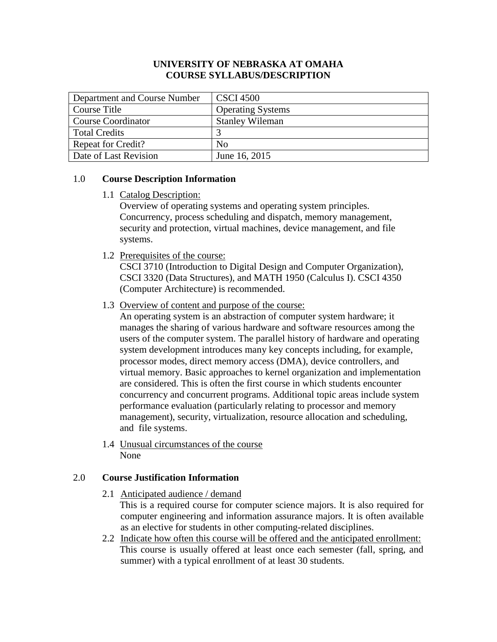# **UNIVERSITY OF NEBRASKA AT OMAHA COURSE SYLLABUS/DESCRIPTION**

| Department and Course Number | <b>CSCI 4500</b>         |
|------------------------------|--------------------------|
| Course Title                 | <b>Operating Systems</b> |
| <b>Course Coordinator</b>    | <b>Stanley Wileman</b>   |
| <b>Total Credits</b>         |                          |
| <b>Repeat for Credit?</b>    | No                       |
| Date of Last Revision        | June 16, 2015            |

# 1.0 **Course Description Information**

1.1 Catalog Description:

Overview of operating systems and operating system principles. Concurrency, process scheduling and dispatch, memory management, security and protection, virtual machines, device management, and file systems.

1.2 Prerequisites of the course:

CSCI 3710 (Introduction to Digital Design and Computer Organization), CSCI 3320 (Data Structures), and MATH 1950 (Calculus I). CSCI 4350 (Computer Architecture) is recommended.

1.3 Overview of content and purpose of the course:

An operating system is an abstraction of computer system hardware; it manages the sharing of various hardware and software resources among the users of the computer system. The parallel history of hardware and operating system development introduces many key concepts including, for example, processor modes, direct memory access (DMA), device controllers, and virtual memory. Basic approaches to kernel organization and implementation are considered. This is often the first course in which students encounter concurrency and concurrent programs. Additional topic areas include system performance evaluation (particularly relating to processor and memory management), security, virtualization, resource allocation and scheduling, and file systems.

1.4 Unusual circumstances of the course None

# 2.0 **Course Justification Information**

2.1 Anticipated audience / demand

This is a required course for computer science majors. It is also required for computer engineering and information assurance majors. It is often available as an elective for students in other computing-related disciplines.

2.2 Indicate how often this course will be offered and the anticipated enrollment: This course is usually offered at least once each semester (fall, spring, and summer) with a typical enrollment of at least 30 students.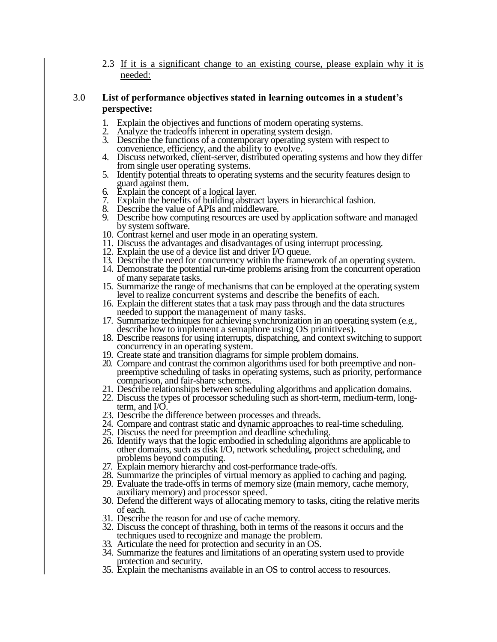2.3 If it is a significant change to an existing course, please explain why it is needed:

#### 3.0 **List of performance objectives stated in learning outcomes in a student's perspective:**

- 1. Explain the objectives and functions of modern operating systems.<br>2. Analyze the tradeoffs inherent in operating system design.
- Analyze the tradeoffs inherent in operating system design.
- 3. Describe the functions of a contemporary operating system with respect to convenience, efficiency, and the ability to evolve.
- 4. Discuss networked, client-server, distributed operating systems and how they differ from single user operating systems.
- 5. Identify potential threats to operating systems and the security features design to guard against them.
- 6. Explain the concept of a logical layer.<br>7. Explain the benefits of building abstra
- 7. Explain the benefits of building abstract layers in hierarchical fashion.
- 8. Describe the value of APIs and middleware.<br>9. Describe how computing resources are used
- 9. Describe how computing resources are used by application software and managed by system software.
- 10. Contrast kernel and user mode in an operating system.
- 11. Discuss the advantages and disadvantages of using interrupt processing.
- 12. Explain the use of a device list and driver I/O queue.
- 13. Describe the need for concurrency within the framework of an operating system.
- 14. Demonstrate the potential run-time problems arising from the concurrent operation of many separate tasks.
- 15. Summarize the range of mechanisms that can be employed at the operating system level to realize concurrent systems and describe the benefits of each.
- 16. Explain the different states that a task may pass through and the data structures needed to support the management of many tasks.
- 17. Summarize techniques for achieving synchronization in an operating system (e.g., describe how to implement a semaphore using OS primitives).
- 18. Describe reasons for using interrupts, dispatching, and context switching to support concurrency in an operating system.
- 19. Create state and transition diagrams for simple problem domains.
- 20. Compare and contrast the common algorithms used for both preemptive and nonpreemptive scheduling of tasks in operating systems, such as priority, performance comparison, and fair-share schemes.
- 21. Describe relationships between scheduling algorithms and application domains.
- 22. Discuss the types of processor scheduling such as short-term, medium-term, longterm, and I/O.
- 23. Describe the difference between processes and threads.
- 24. Compare and contrast static and dynamic approaches to real-time scheduling.
- 25. Discuss the need for preemption and deadline scheduling.
- 26. Identify ways that the logic embodied in scheduling algorithms are applicable to other domains, such as disk I/O, network scheduling, project scheduling, and problems beyond computing.
- 27. Explain memory hierarchy and cost-performance trade-offs.
- 28. Summarize the principles of virtual memory as applied to caching and paging.
- 29. Evaluate the trade-offs in terms of memory size (main memory, cache memory, auxiliary memory) and processor speed.
- 30. Defend the different ways of allocating memory to tasks, citing the relative merits of each.
- 31. Describe the reason for and use of cache memory.
- 32. Discuss the concept of thrashing, both in terms of the reasons it occurs and the techniques used to recognize and manage the problem.
- 33. Articulate the need for protection and security in an OS.
- 34. Summarize the features and limitations of an operating system used to provide protection and security.
- 35. Explain the mechanisms available in an OS to control access to resources.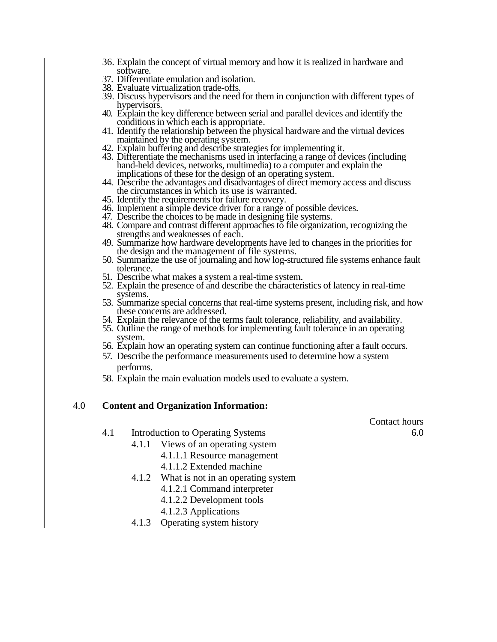- 36. Explain the concept of virtual memory and how it is realized in hardware and software.
- 37. Differentiate emulation and isolation.
- 38. Evaluate virtualization trade-offs.
- 39. Discuss hypervisors and the need for them in conjunction with different types of hypervisors.
- 40. Explain the key difference between serial and parallel devices and identify the conditions in which each is appropriate.
- 41. Identify the relationship between the physical hardware and the virtual devices maintained by the operating system.
- 42. Explain buffering and describe strategies for implementing it.
- 43. Differentiate the mechanisms used in interfacing a range of devices (including hand-held devices, networks, multimedia) to a computer and explain the implications of these for the design of an operating system.
- 44. Describe the advantages and disadvantages of direct memory access and discuss the circumstances in which its use is warranted.
- 45. Identify the requirements for failure recovery.
- 46. Implement a simple device driver for a range of possible devices.
- 47. Describe the choices to be made in designing file systems.
- 48. Compare and contrast different approaches to file organization, recognizing the strengths and weaknesses of each.
- 49. Summarize how hardware developments have led to changes in the priorities for the design and the management of file systems.
- 50. Summarize the use of journaling and how log-structured file systems enhance fault tolerance.
- 51. Describe what makes a system a real-time system.
- 52. Explain the presence of and describe the characteristics of latency in real-time systems.
- 53. Summarize special concerns that real-time systems present, including risk, and how these concerns are addressed.
- 54. Explain the relevance of the terms fault tolerance, reliability, and availability.
- 55. Outline the range of methods for implementing fault tolerance in an operating system.
- 56. Explain how an operating system can continue functioning after a fault occurs.
- 57. Describe the performance measurements used to determine how a system performs.
- 58. Explain the main evaluation models used to evaluate a system.

### 4.0 **Content and Organization Information:**

Contact hours

- 4.1 Introduction to Operating Systems 6.0
	- 4.1.1 Views of an operating system
		- 4.1.1.1 Resource management
		- 4.1.1.2 Extended machine
	- 4.1.2 What is not in an operating system
		- 4.1.2.1 Command interpreter
		- 4.1.2.2 Development tools
		- 4.1.2.3 Applications
	- 4.1.3 Operating system history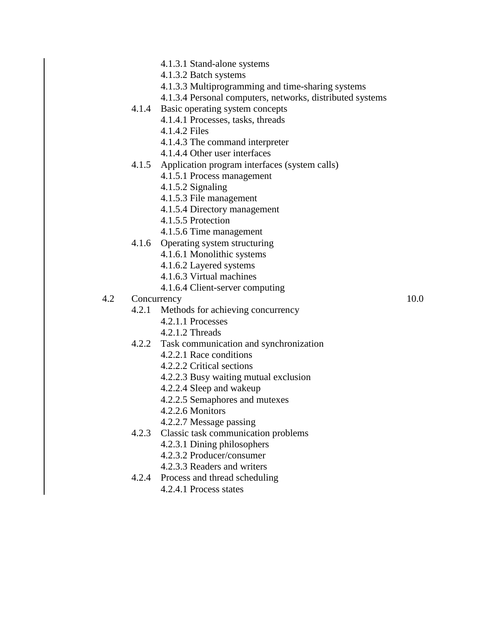- 4.1.3.1 Stand-alone systems
- 4.1.3.2 Batch systems
- 4.1.3.3 Multiprogramming and time-sharing systems
- 4.1.3.4 Personal computers, networks, distributed systems
- 4.1.4 Basic operating system concepts
	- 4.1.4.1 Processes, tasks, threads
	- 4.1.4.2 Files
	- 4.1.4.3 The command interpreter
	- 4.1.4.4 Other user interfaces
- 4.1.5 Application program interfaces (system calls)
	- 4.1.5.1 Process management
	- 4.1.5.2 Signaling
	- 4.1.5.3 File management
	- 4.1.5.4 Directory management
	- 4.1.5.5 Protection
	- 4.1.5.6 Time management
- 4.1.6 Operating system structuring
	- 4.1.6.1 Monolithic systems
	- 4.1.6.2 Layered systems
	- 4.1.6.3 Virtual machines
	- 4.1.6.4 Client-server computing
- 4.2 Concurrency 10.0

- 4.2.1 Methods for achieving concurrency
	- 4.2.1.1 Processes
	- 4.2.1.2 Threads
- 4.2.2 Task communication and synchronization
	- 4.2.2.1 Race conditions
	- 4.2.2.2 Critical sections
	- 4.2.2.3 Busy waiting mutual exclusion
	- 4.2.2.4 Sleep and wakeup
	- 4.2.2.5 Semaphores and mutexes
	- 4.2.2.6 Monitors
	- 4.2.2.7 Message passing
- 4.2.3 Classic task communication problems
	- 4.2.3.1 Dining philosophers
	- 4.2.3.2 Producer/consumer
	- 4.2.3.3 Readers and writers
- 4.2.4 Process and thread scheduling
	- 4.2.4.1 Process states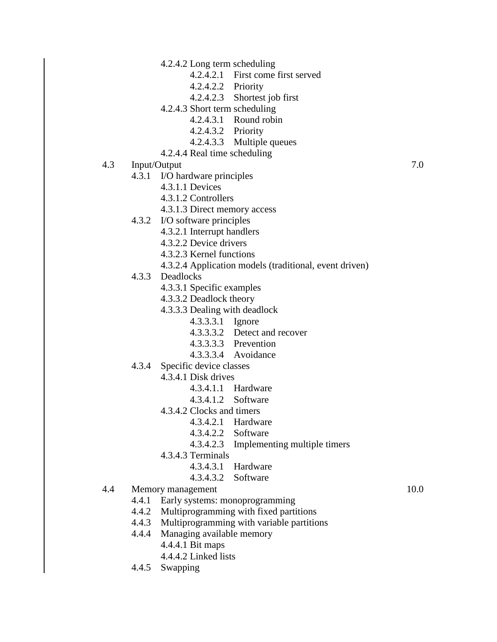- 4.2.4.2 Long term scheduling
	- 4.2.4.2.1 First come first served
	- 4.2.4.2.2 Priority
	- 4.2.4.2.3 Shortest job first
- 4.2.4.3 Short term scheduling
	- 4.2.4.3.1 Round robin
	- 4.2.4.3.2 Priority
	- 4.2.4.3.3 Multiple queues
- 4.2.4.4 Real time scheduling
- 4.3 Input/Output 7.0
	- 4.3.1 I/O hardware principles
		- 4.3.1.1 Devices
		- 4.3.1.2 Controllers
		- 4.3.1.3 Direct memory access
	- 4.3.2 I/O software principles
		- 4.3.2.1 Interrupt handlers
		- 4.3.2.2 Device drivers
		- 4.3.2.3 Kernel functions
		- 4.3.2.4 Application models (traditional, event driven)
	- 4.3.3 Deadlocks
		- 4.3.3.1 Specific examples
		- 4.3.3.2 Deadlock theory
		- 4.3.3.3 Dealing with deadlock
			- 4.3.3.3.1 Ignore
			- 4.3.3.3.2 Detect and recover
			- 4.3.3.3.3 Prevention
			- 4.3.3.3.4 Avoidance
	- 4.3.4 Specific device classes
		- 4.3.4.1 Disk drives
			- 4.3.4.1.1 Hardware
			- 4.3.4.1.2 Software
		- 4.3.4.2 Clocks and timers
			- 4.3.4.2.1 Hardware
			- 4.3.4.2.2 Software
			- 4.3.4.2.3 Implementing multiple timers
		- 4.3.4.3 Terminals
			- 4.3.4.3.1 Hardware
			- 4.3.4.3.2 Software
- 4.4 Memory management 10.0

- 4.4.1 Early systems: monoprogramming
- 4.4.2 Multiprogramming with fixed partitions
- 4.4.3 Multiprogramming with variable partitions
- 4.4.4 Managing available memory
	- 4.4.4.1 Bit maps
	- 4.4.4.2 Linked lists
- 4.4.5 Swapping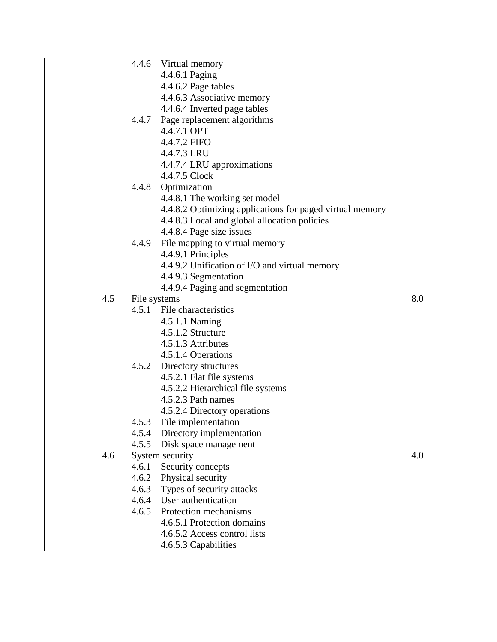- 4.4.6 Virtual memory
	- 4.4.6.1 Paging
	- 4.4.6.2 Page tables
	- 4.4.6.3 Associative memory
	- 4.4.6.4 Inverted page tables
- 4.4.7 Page replacement algorithms
	- 4.4.7.1 OPT
	- 4.4.7.2 FIFO
	- 4.4.7.3 LRU
	- 4.4.7.4 LRU approximations
	- 4.4.7.5 Clock
- 4.4.8 Optimization
	- 4.4.8.1 The working set model
	- 4.4.8.2 Optimizing applications for paged virtual memory
	- 4.4.8.3 Local and global allocation policies
	- 4.4.8.4 Page size issues
- 4.4.9 File mapping to virtual memory
	- 4.4.9.1 Principles
	- 4.4.9.2 Unification of I/O and virtual memory
	- 4.4.9.3 Segmentation
	- 4.4.9.4 Paging and segmentation
- 4.5 File systems 8.0
	- 4.5.1 File characteristics
		- 4.5.1.1 Naming
		- 4.5.1.2 Structure
		- 4.5.1.3 Attributes
		- 4.5.1.4 Operations
	- 4.5.2 Directory structures
		- 4.5.2.1 Flat file systems
		- 4.5.2.2 Hierarchical file systems
		- 4.5.2.3 Path names
		- 4.5.2.4 Directory operations
	- 4.5.3 File implementation
	- 4.5.4 Directory implementation
	- 4.5.5 Disk space management
- 4.6 System security 4.0
	- 4.6.1 Security concepts
	- 4.6.2 Physical security
	- 4.6.3 Types of security attacks
	- 4.6.4 User authentication
	- 4.6.5 Protection mechanisms
		- 4.6.5.1 Protection domains
		- 4.6.5.2 Access control lists
		- 4.6.5.3 Capabilities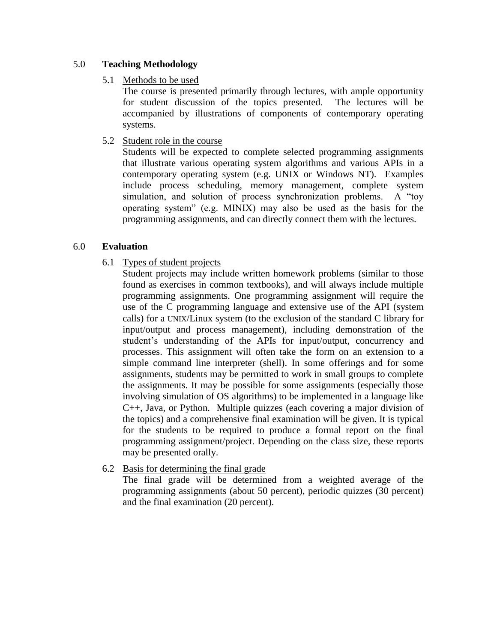# 5.0 **Teaching Methodology**

# 5.1 Methods to be used

The course is presented primarily through lectures, with ample opportunity for student discussion of the topics presented. The lectures will be accompanied by illustrations of components of contemporary operating systems.

# 5.2 Student role in the course

Students will be expected to complete selected programming assignments that illustrate various operating system algorithms and various APIs in a contemporary operating system (e.g. UNIX or Windows NT). Examples include process scheduling, memory management, complete system simulation, and solution of process synchronization problems. A "toy operating system" (e.g. MINIX) may also be used as the basis for the programming assignments, and can directly connect them with the lectures.

# 6.0 **Evaluation**

6.1 Types of student projects

Student projects may include written homework problems (similar to those found as exercises in common textbooks), and will always include multiple programming assignments. One programming assignment will require the use of the C programming language and extensive use of the API (system calls) for a UNIX/Linux system (to the exclusion of the standard C library for input/output and process management), including demonstration of the student's understanding of the APIs for input/output, concurrency and processes. This assignment will often take the form on an extension to a simple command line interpreter (shell). In some offerings and for some assignments, students may be permitted to work in small groups to complete the assignments. It may be possible for some assignments (especially those involving simulation of OS algorithms) to be implemented in a language like C++, Java, or Python. Multiple quizzes (each covering a major division of the topics) and a comprehensive final examination will be given. It is typical for the students to be required to produce a formal report on the final programming assignment/project. Depending on the class size, these reports may be presented orally.

6.2 Basis for determining the final grade

The final grade will be determined from a weighted average of the programming assignments (about 50 percent), periodic quizzes (30 percent) and the final examination (20 percent).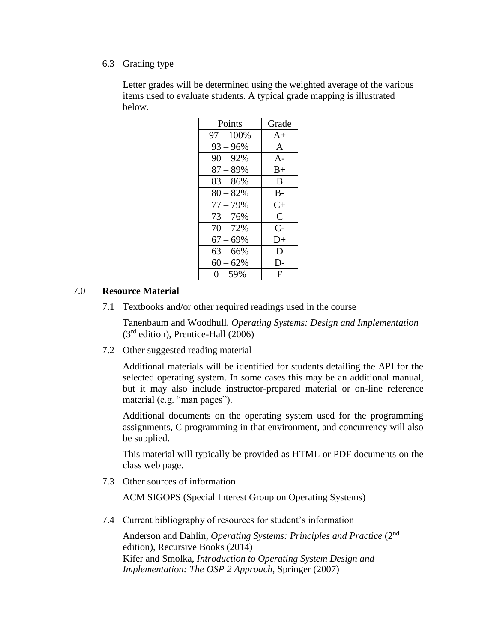#### 6.3 Grading type

Letter grades will be determined using the weighted average of the various items used to evaluate students. A typical grade mapping is illustrated below.

| Points       | Grade         |
|--------------|---------------|
| $97 - 100\%$ | $A+$          |
| $93 - 96\%$  | A             |
| $90 - 92%$   | $A -$         |
| $87 - 89%$   | $B+$          |
| $83 - 86%$   | B             |
| $80 - 82%$   | $B -$         |
| $77 - 79\%$  | $C+$          |
| $73 - 76%$   | $\mathcal{C}$ |
| $70 - 72%$   | $C-$          |
| $67 - 69%$   | D+            |
| $63 - 66\%$  | D             |
| $60 - 62%$   | $\mathsf{D}$  |
| $0 - 59%$    | F             |

### 7.0 **Resource Material**

7.1 Textbooks and/or other required readings used in the course

Tanenbaum and Woodhull, *Operating Systems: Design and Implementation*  $(3<sup>rd</sup> edition)$ , Prentice-Hall  $(2006)$ 

7.2 Other suggested reading material

Additional materials will be identified for students detailing the API for the selected operating system. In some cases this may be an additional manual, but it may also include instructor-prepared material or on-line reference material (e.g. "man pages").

Additional documents on the operating system used for the programming assignments, C programming in that environment, and concurrency will also be supplied.

This material will typically be provided as HTML or PDF documents on the class web page.

7.3 Other sources of information

ACM SIGOPS (Special Interest Group on Operating Systems)

7.4 Current bibliography of resources for student's information

Anderson and Dahlin, *Operating Systems: Principles and Practice* (2nd edition), Recursive Books (2014) Kifer and Smolka, *Introduction to Operating System Design and Implementation: The OSP 2 Approach*, Springer (2007)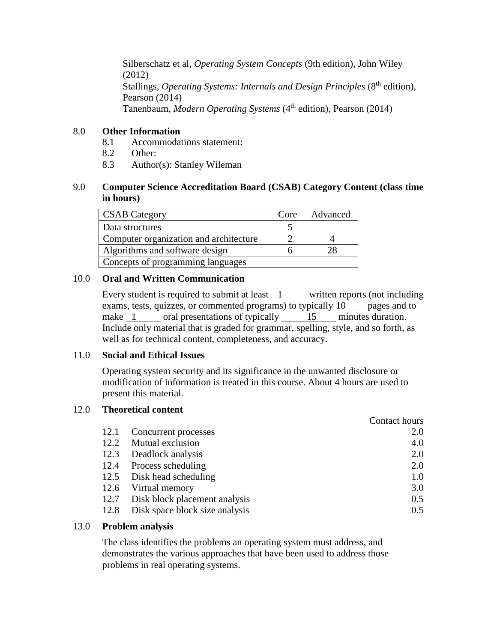Silberschatz et al, *Operating System Concepts* (9th edition), John Wiley (2012) Stallings, *Operating Systems: Internals and Design Principles* (8<sup>th</sup> edition), Pearson (2014) Tanenbaum, *Modern Operating Systems* (4 th edition), Pearson (2014)

# 8.0 **Other Information**

- 8.1 Accommodations statement:
- 8.2 Other:
- 8.3 Author(s): Stanley Wileman

# 9.0 **Computer Science Accreditation Board (CSAB) Category Content (class time in hours)**

| <b>CSAB</b> Category                   | Core | Advanced |
|----------------------------------------|------|----------|
| Data structures                        |      |          |
| Computer organization and architecture |      |          |
| Algorithms and software design         |      |          |
| Concepts of programming languages      |      |          |

# 10.0 **Oral and Written Communication**

Every student is required to submit at least  $1$  written reports (not including exams, tests, quizzes, or commented programs) to typically  $10$  pages and to make 1 oral presentations of typically 15 minutes duration. Include only material that is graded for grammar, spelling, style, and so forth, as well as for technical content, completeness, and accuracy.

### 11.0 **Social and Ethical Issues**

Operating system security and its significance in the unwanted disclosure or modification of information is treated in this course. About 4 hours are used to present this material.

### 12.0 **Theoretical content**

|      |                                | Contact hours |
|------|--------------------------------|---------------|
| 12.1 | Concurrent processes           | 2.0           |
| 12.2 | Mutual exclusion               | 4.0           |
| 12.3 | Deadlock analysis              | 2.0           |
| 12.4 | Process scheduling             | 2.0           |
| 12.5 | Disk head scheduling           | 1.0           |
| 12.6 | Virtual memory                 | 3.0           |
| 12.7 | Disk block placement analysis  | 0.5           |
| 12.8 | Disk space block size analysis | 0.5           |

### 13.0 **Problem analysis**

The class identifies the problems an operating system must address, and demonstrates the various approaches that have been used to address those problems in real operating systems.